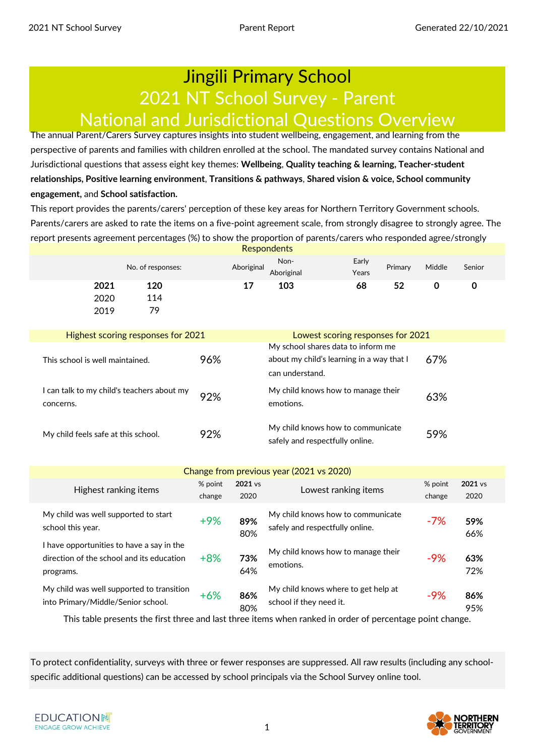### Jingili Primary School 2021 NT School Survey - Parent National and Jurisdictional Questions Overview

The annual Parent/Carers Survey captures insights into student wellbeing, engagement, and learning from the perspective of parents and families with children enrolled at the school. The mandated survey contains National and Jurisdictional questions that assess eight key themes: **Wellbeing**, **Quality teaching & learning, Teacher-student relationships, Positive learning environment**, **Transitions & pathways**, **Shared vision & voice, School community engagement,** and **School satisfaction.** 

This report provides the parents/carers' perception of these key areas for Northern Territory Government schools. Parents/carers are asked to rate the items on a five-point agreement scale, from strongly disagree to strongly agree. The report presents agreement percentages (%) to show the proportion of parents/carers who responded agree/strongly **Respondents** 

|                                                         | No. of responses:                  |     | Aboriginal | Non-<br>Aboriginal              | Early<br>Years                                                                  | Primary | Middle | Senior |
|---------------------------------------------------------|------------------------------------|-----|------------|---------------------------------|---------------------------------------------------------------------------------|---------|--------|--------|
| 2021<br>2020<br>2019                                    | 120<br>114<br>79                   |     | 17         | 103                             | 68                                                                              | 52      | 0      | 0      |
|                                                         | Highest scoring responses for 2021 |     |            |                                 | Lowest scoring responses for 2021                                               |         |        |        |
| This school is well maintained.                         |                                    | 96% |            | can understand.                 | My school shares data to inform me<br>about my child's learning in a way that I |         | 67%    |        |
| I can talk to my child's teachers about my<br>concerns. |                                    | 92% |            | emotions.                       | My child knows how to manage their                                              |         | 63%    |        |
| My child feels safe at this school.                     |                                    | 92% |            | safely and respectfully online. | My child knows how to communicate                                               |         | 59%    |        |

### Change from previous year (2021 vs 2020)

| Highest ranking items                                                                               | % point<br>change | 2021 vs<br>2020 | Lowest ranking items                                                 | % point<br>change | 2021 vs<br>2020 |  |
|-----------------------------------------------------------------------------------------------------|-------------------|-----------------|----------------------------------------------------------------------|-------------------|-----------------|--|
| My child was well supported to start<br>school this year.                                           | $+9%$             | 89%<br>80%      | My child knows how to communicate<br>safely and respectfully online. | $-7%$             | 59%<br>66%      |  |
| I have opportunities to have a say in the<br>direction of the school and its education<br>programs. | $+8%$             | 73%<br>64%      | My child knows how to manage their<br>emotions.                      | -9%               | 63%<br>72%      |  |
| My child was well supported to transition<br>into Primary/Middle/Senior school.                     | $+6%$             | 86%<br>80%      | My child knows where to get help at<br>school if they need it.       | $-9%$             | 86%<br>95%      |  |

This table presents the first three and last three items when ranked in order of percentage point change.

To protect confidentiality, surveys with three or fewer responses are suppressed. All raw results (including any schoolspecific additional questions) can be accessed by school principals via the School Survey online tool.

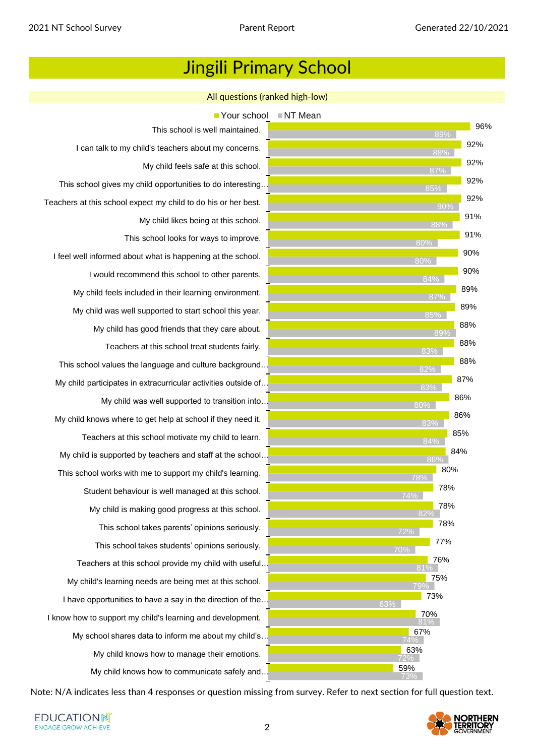All questions (ranked high-low)

This school is well maintained. I can talk to my child's teachers about my concerns. My child feels safe at this school. This school gives my child opportunities to do interesting… Teachers at this school expect my child to do his or her best. My child likes being at this school. This school looks for ways to improve. I feel well informed about what is happening at the school. I would recommend this school to other parents. My child feels included in their learning environment. My child was well supported to start school this year. My child has good friends that they care about. Teachers at this school treat students fairly. This school values the language and culture background… My child participates in extracurricular activities outside of… My child was well supported to transition into… My child knows where to get help at school if they need it. Teachers at this school motivate my child to learn. My child is supported by teachers and staff at the school… This school works with me to support my child's learning. Student behaviour is well managed at this school. My child is making good progress at this school. This school takes parents' opinions seriously. This school takes students' opinions seriously. Teachers at this school provide my child with useful… My child's learning needs are being met at this school. I have opportunities to have a say in the direction of the. I know how to support my child's learning and development. My school shares data to inform me about my child's … My child knows how to manage their emotions. My child knows how to communicate safely and…  $\blacksquare$  Your school  $\blacksquare$  NT Mean



Note: N/A indicates less than 4 responses or question missing from survey. Refer to next section for full question text.

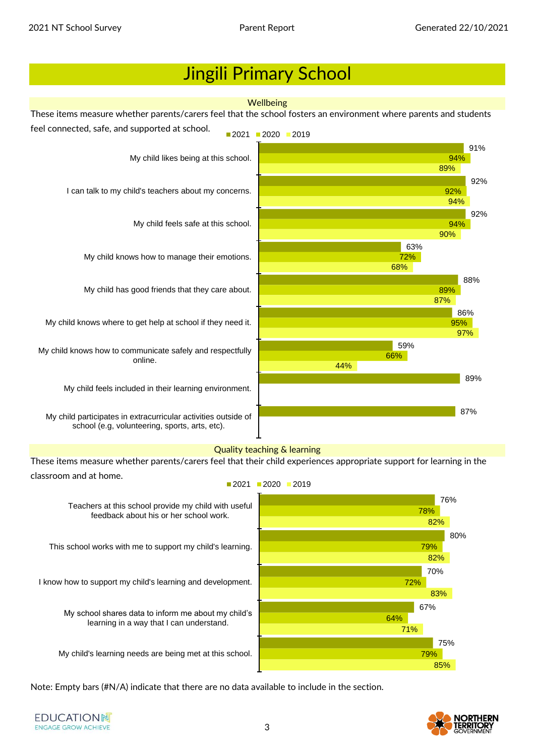

My child's learning needs are being met at this school.

Note: Empty bars (#N/A) indicate that there are no data available to include in the section.

**EDUCATIONN ENGAGE GROW ACHIEVE** 



75%

85%

79%

71%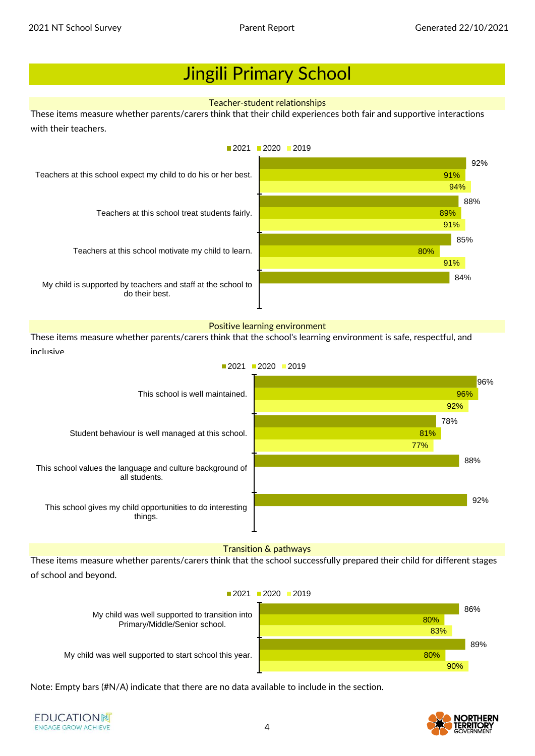#### Teacher-student relationships

These items measure whether parents/carers think that their child experiences both fair and supportive interactions with their teachers.



#### Positive learning environment

These items measure whether parents/carers think that the school's learning environment is safe, respectful, and inclusive.



### Transition & pathways

These items measure whether parents/carers think that the school successfully prepared their child for different stages of school and beyond.

 $2021$  2020 2019

My child was well supported to transition into Primary/Middle/Senior school.

My child was well supported to start school this year.

86% 89% 80% 80% 83% 90%

Note: Empty bars (#N/A) indicate that there are no data available to include in the section.

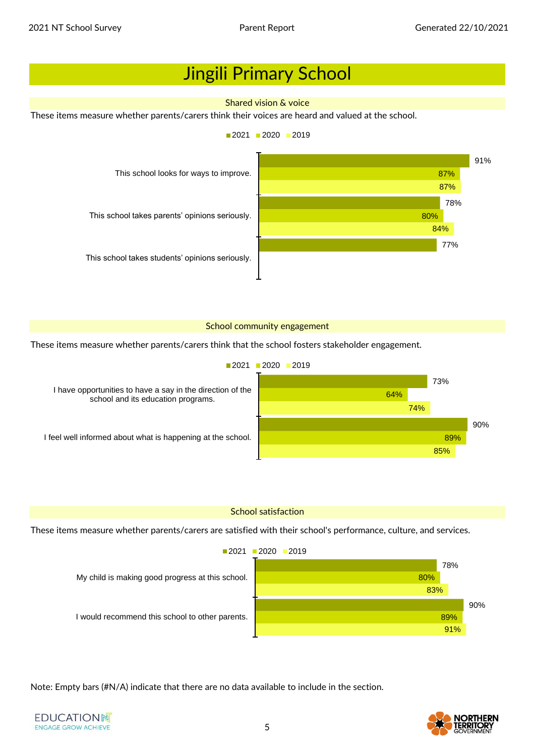**EDUCATIONN ENGAGE GROW ACHIEVE** 

### Jingili Primary School

### Shared vision & voice

These items measure whether parents/carers think their voices are heard and valued at the school.



### School community engagement

These items measure whether parents/carers think that the school fosters stakeholder engagement.



### School satisfaction

These items measure whether parents/carers are satisfied with their school's performance, culture, and services.



Note: Empty bars (#N/A) indicate that there are no data available to include in the section.

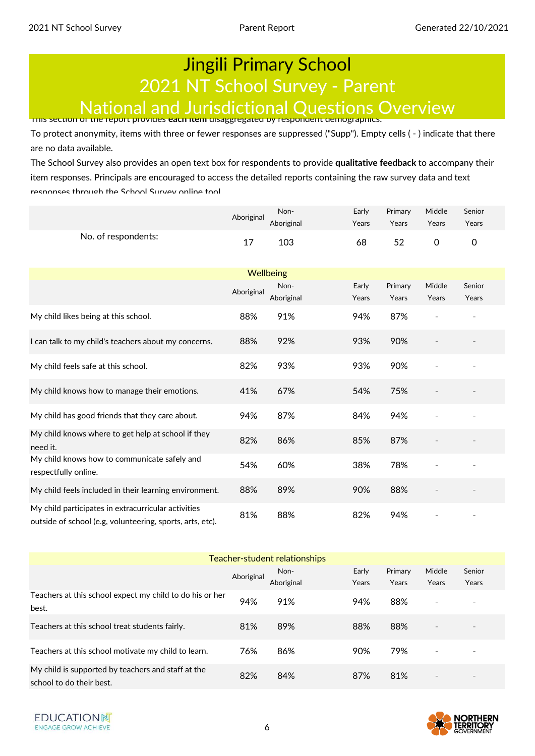## Jingili Primary School 2021 NT School Survey - Parent National and Jurisdictional Questions Overview This section of the report provides **each item** disaggregated by respondent demographics.

To protect anonymity, items with three or fewer responses are suppressed ("Supp"). Empty cells ( - ) indicate that there are no data available.

The School Survey also provides an open text box for respondents to provide **qualitative feedback** to accompany their item responses. Principals are encouraged to access the detailed reports containing the raw survey data and text responses through the School Survey online tool.

|                                                                                                                  | Aboriginal | Non-       | Early | Primary | Middle      | Senior |
|------------------------------------------------------------------------------------------------------------------|------------|------------|-------|---------|-------------|--------|
|                                                                                                                  |            | Aboriginal | Years | Years   | Years       | Years  |
| No. of respondents:                                                                                              | 17         | 103        | 68    | 52      | $\mathbf 0$ | 0      |
|                                                                                                                  |            |            |       |         |             |        |
|                                                                                                                  |            | Wellbeing  |       |         |             |        |
|                                                                                                                  | Aboriginal | Non-       | Early | Primary | Middle      | Senior |
|                                                                                                                  |            | Aboriginal | Years | Years   | Years       | Years  |
| My child likes being at this school.                                                                             | 88%        | 91%        | 94%   | 87%     |             |        |
| I can talk to my child's teachers about my concerns.                                                             | 88%        | 92%        | 93%   | 90%     |             |        |
| My child feels safe at this school.                                                                              | 82%        | 93%        | 93%   | 90%     |             |        |
| My child knows how to manage their emotions.                                                                     | 41%        | 67%        | 54%   | 75%     |             |        |
| My child has good friends that they care about.                                                                  | 94%        | 87%        | 84%   | 94%     |             |        |
| My child knows where to get help at school if they<br>need it.                                                   | 82%        | 86%        | 85%   | 87%     |             |        |
| My child knows how to communicate safely and<br>respectfully online.                                             | 54%        | 60%        | 38%   | 78%     |             |        |
| My child feels included in their learning environment.                                                           | 88%        | 89%        | 90%   | 88%     |             |        |
| My child participates in extracurricular activities<br>outside of school (e.g, volunteering, sports, arts, etc). | 81%        | 88%        | 82%   | 94%     |             |        |

| Teacher-student relationships                                                  |            |            |       |         |                          |        |  |  |  |
|--------------------------------------------------------------------------------|------------|------------|-------|---------|--------------------------|--------|--|--|--|
|                                                                                | Aboriginal | Non-       | Early | Primary | Middle                   | Senior |  |  |  |
|                                                                                |            | Aboriginal | Years | Years   | Years                    | Years  |  |  |  |
| Teachers at this school expect my child to do his or her<br>best.              | 94%        | 91%        | 94%   | 88%     | ۰                        |        |  |  |  |
| Teachers at this school treat students fairly.                                 | 81%        | 89%        | 88%   | 88%     | $\sim$                   |        |  |  |  |
| Teachers at this school motivate my child to learn.                            | 76%        | 86%        | 90%   | 79%     | $\overline{\phantom{a}}$ |        |  |  |  |
| My child is supported by teachers and staff at the<br>school to do their best. | 82%        | 84%        | 87%   | 81%     | $\overline{\phantom{a}}$ |        |  |  |  |

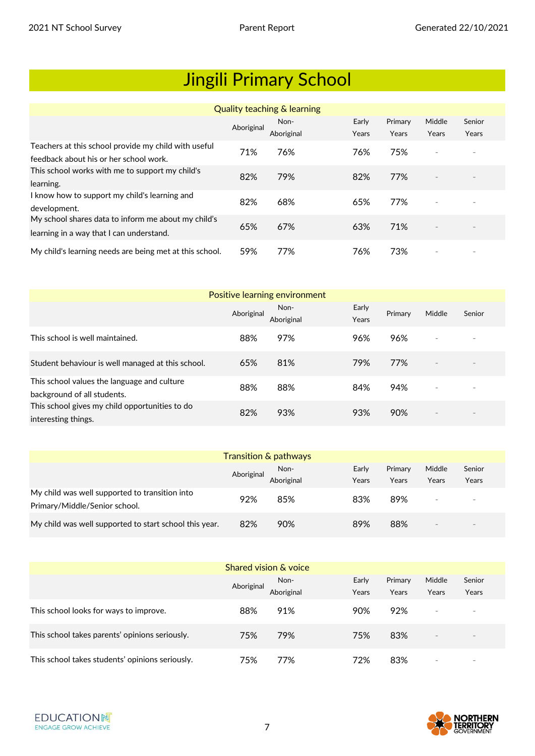|                                                                                                 |            | Quality teaching & learning |                |                  |                          |                 |
|-------------------------------------------------------------------------------------------------|------------|-----------------------------|----------------|------------------|--------------------------|-----------------|
|                                                                                                 | Aboriginal | Non-<br>Aboriginal          | Early<br>Years | Primary<br>Years | Middle<br>Years          | Senior<br>Years |
| Teachers at this school provide my child with useful<br>feedback about his or her school work.  | 71%        | 76%                         | 76%            | 75%              | $\overline{\phantom{a}}$ |                 |
| This school works with me to support my child's<br>learning.                                    | 82%        | 79%                         | 82%            | 77%              | $\overline{\phantom{m}}$ |                 |
| I know how to support my child's learning and<br>development.                                   | 82%        | 68%                         | 65%            | 77%              | $\overline{\phantom{a}}$ |                 |
| My school shares data to inform me about my child's<br>learning in a way that I can understand. | 65%        | 67%                         | 63%            | 71%              | $\overline{\phantom{a}}$ |                 |
| My child's learning needs are being met at this school.                                         | 59%        | 77%                         | 76%            | 73%              | $\overline{\phantom{a}}$ |                 |

| Positive learning environment                                              |            |                    |                |         |                          |        |  |  |
|----------------------------------------------------------------------------|------------|--------------------|----------------|---------|--------------------------|--------|--|--|
|                                                                            | Aboriginal | Non-<br>Aboriginal | Early<br>Years | Primary | Middle                   | Senior |  |  |
| This school is well maintained.                                            | 88%        | 97%                | 96%            | 96%     | $\overline{\phantom{a}}$ |        |  |  |
| Student behaviour is well managed at this school.                          | 65%        | 81%                | 79%            | 77%     | $\overline{\phantom{a}}$ |        |  |  |
| This school values the language and culture<br>background of all students. | 88%        | 88%                | 84%            | 94%     | $\overline{\phantom{a}}$ |        |  |  |
| This school gives my child opportunities to do<br>interesting things.      | 82%        | 93%                | 93%            | 90%     | $\overline{\phantom{a}}$ |        |  |  |

|                                                                                 |            | <b>Transition &amp; pathways</b> |       |         |                 |                          |  |
|---------------------------------------------------------------------------------|------------|----------------------------------|-------|---------|-----------------|--------------------------|--|
|                                                                                 | Aboriginal | Non-                             | Early | Primary | Middle          | Senior                   |  |
|                                                                                 |            | Aboriginal                       | Years | Years   | Years           | Years                    |  |
| My child was well supported to transition into<br>Primary/Middle/Senior school. | 92%        | 85%                              | 83%   | 89%     | $\sim$          | $\sim$                   |  |
| My child was well supported to start school this year.                          | 82%        | 90%                              | 89%   | 88%     | $\qquad \qquad$ | $\overline{\phantom{a}}$ |  |

| Shared vision & voice                           |            |                    |                |                  |                          |                          |  |  |  |
|-------------------------------------------------|------------|--------------------|----------------|------------------|--------------------------|--------------------------|--|--|--|
|                                                 | Aboriginal | Non-<br>Aboriginal | Early<br>Years | Primary<br>Years | Middle<br>Years          | Senior<br>Years          |  |  |  |
| This school looks for ways to improve.          | 88%        | 91%                | 90%            | 92%              | $\overline{\phantom{a}}$ | $\overline{\phantom{a}}$ |  |  |  |
| This school takes parents' opinions seriously.  | 75%        | 79%                | 75%            | 83%              | $\sim$                   | $\sim$                   |  |  |  |
| This school takes students' opinions seriously. | 75%        | 77%                | 72%            | 83%              |                          | $\overline{\phantom{a}}$ |  |  |  |